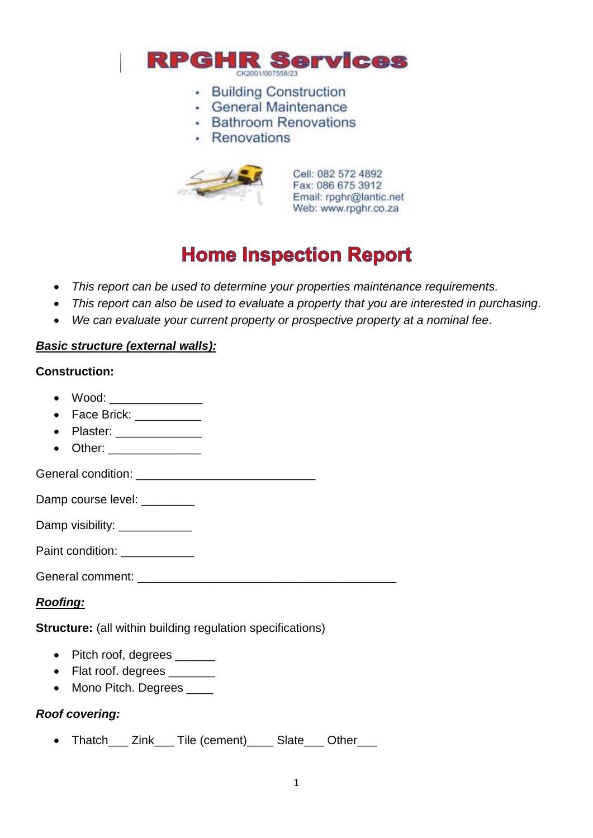

- Building Construction
- · General Maintenance
- Bathroom Renovations
- · Renovations



Cell: 082 572 4892 Fax: 086 675 3912 Email: rpghr@lantic.net Web: www.rpghr.co.za

# **Home Inspection Report**

- *This report can be used to determine your properties maintenance requirements.*
- *This report can also be used to evaluate a property that you are interested in purchasing.*
- *We can evaluate your current property or prospective property at a nominal fee.*

#### *Basic structure (external walls):*

#### **Construction:**

- Wood: \_\_\_\_\_\_\_\_\_\_\_\_\_\_
- Face Brick: \_\_\_\_\_\_\_\_\_\_
- Plaster:
- Other: \_\_\_\_\_\_\_\_\_\_\_\_\_\_

General condition: **Example 2018** 

Damp course level: \_\_\_\_\_\_\_\_

Damp visibility: \_\_\_\_\_\_\_\_\_\_\_\_\_

Paint condition:

General comment: **Example 2018** 

## *Roofing:*

**Structure:** (all within building regulation specifications)

- Pitch roof, degrees \_\_\_\_\_\_
- Flat roof. degrees \_\_\_\_\_\_\_
- Mono Pitch. Degrees \_\_\_\_

## *Roof covering:*

Thatch\_\_\_ Zink\_\_\_ Tile (cement)\_\_\_\_ Slate\_\_\_ Other\_\_\_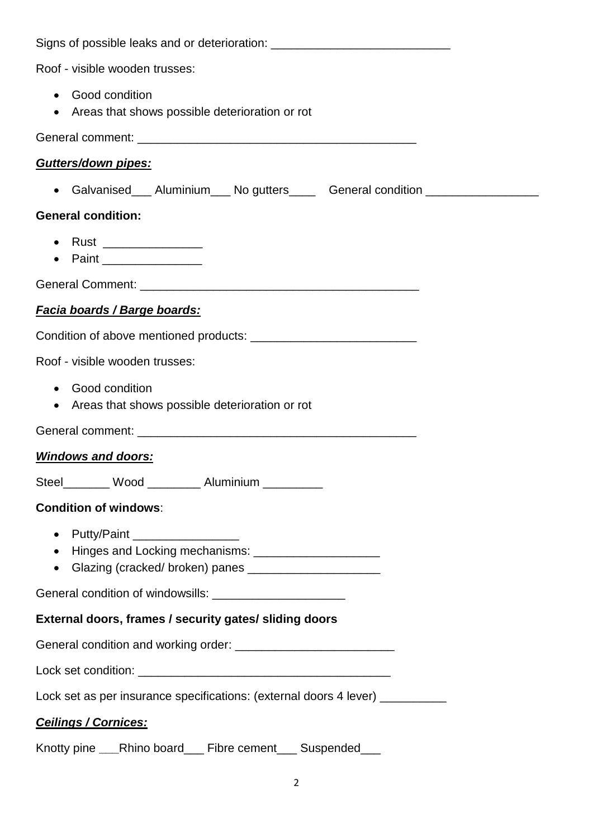| Signs of possible leaks and or deterioration: __________________________________              |  |  |  |  |
|-----------------------------------------------------------------------------------------------|--|--|--|--|
| Roof - visible wooden trusses:                                                                |  |  |  |  |
| • Good condition<br>• Areas that shows possible deterioration or rot                          |  |  |  |  |
|                                                                                               |  |  |  |  |
| Gutters/down pipes:                                                                           |  |  |  |  |
| • Galvanised___ Aluminium___ No gutters_____ General condition _________________              |  |  |  |  |
| <b>General condition:</b>                                                                     |  |  |  |  |
| • Rust ________________<br>• Paint __________________                                         |  |  |  |  |
|                                                                                               |  |  |  |  |
| <u>Facia boards / Barge boards:</u>                                                           |  |  |  |  |
|                                                                                               |  |  |  |  |
| Roof - visible wooden trusses:                                                                |  |  |  |  |
| • Good condition<br>• Areas that shows possible deterioration or rot                          |  |  |  |  |
|                                                                                               |  |  |  |  |
| <u>Windows and doors:</u>                                                                     |  |  |  |  |
| Steel________ Wood _________ Aluminium _________                                              |  |  |  |  |
| <b>Condition of windows:</b>                                                                  |  |  |  |  |
| • Putty/Paint __________________<br>• Hinges and Locking mechanisms: ________________________ |  |  |  |  |
| General condition of windowsills: _________________________                                   |  |  |  |  |
| External doors, frames / security gates/ sliding doors                                        |  |  |  |  |
|                                                                                               |  |  |  |  |
|                                                                                               |  |  |  |  |
| Lock set as per insurance specifications: (external doors 4 lever) ____________               |  |  |  |  |
| <b>Ceilings / Cornices:</b>                                                                   |  |  |  |  |
| Knotty pine ___Rhino board___ Fibre cement___ Suspended___                                    |  |  |  |  |

2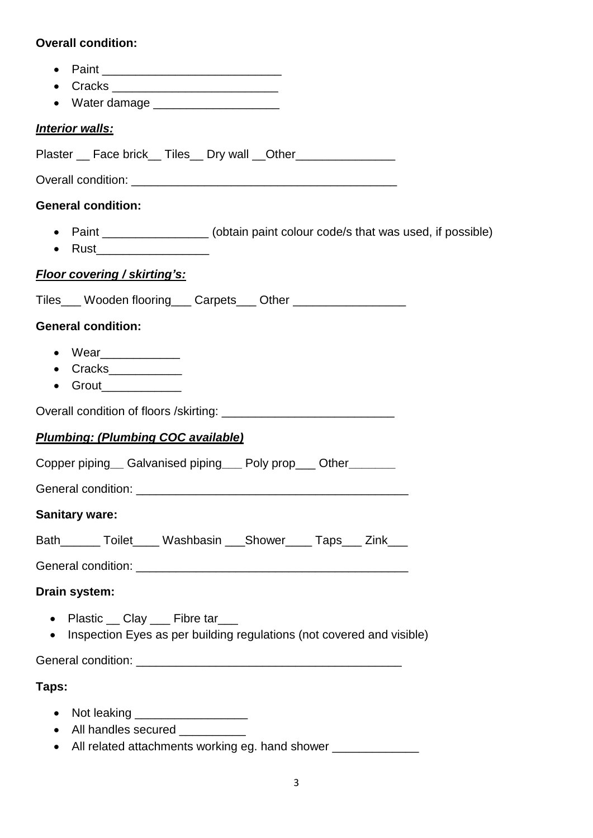## **Overall condition:**

- $\bullet$  Paint  $\bullet$
- Cracks \_\_\_\_\_\_\_\_\_\_\_\_\_\_\_\_\_\_\_\_\_\_\_\_\_
- Water damage \_\_\_\_\_\_\_\_\_\_\_\_\_\_\_\_\_\_\_

## *Interior walls:*

Plaster \_\_ Face brick \_\_ Tiles \_\_ Dry wall \_\_ Other\_\_\_\_\_\_\_\_\_\_\_\_\_\_\_\_\_\_\_\_\_\_\_\_\_\_\_\_\_

Overall condition: **Example 20** and  $\overline{a}$  and  $\overline{b}$  and  $\overline{c}$  and  $\overline{d}$  and  $\overline{b}$  and  $\overline{a}$  and  $\overline{a}$  and  $\overline{a}$  and  $\overline{a}$  and  $\overline{a}$  and  $\overline{a}$  and  $\overline{a}$  and  $\overline{a}$  and  $\overline{a}$  and  $\overline$ 

## **General condition:**

- Paint **Paint** (obtain paint colour code/s that was used, if possible)
- $\bullet$  Rust

## *Floor covering / skirting's:*

Tiles Wooden flooring Carpets Other

## **General condition:**

- $\bullet$  Wear
- Cracks\_\_\_\_\_\_\_\_\_\_\_
- $\bullet$  Grout

Overall condition of floors /skirting: \_\_\_\_\_\_\_\_\_\_\_\_\_\_\_\_\_\_\_\_\_\_\_\_\_\_

## *Plumbing: (Plumbing COC available)*

Copper piping**\_\_** Galvanised piping**\_\_\_** Poly prop\_\_\_ Other**\_\_\_\_\_\_\_**

General condition: \_\_\_\_\_\_\_\_\_\_\_\_\_\_\_\_\_\_\_\_\_\_\_\_\_\_\_\_\_\_\_\_\_\_\_\_\_\_\_\_\_

## **Sanitary ware:**

| Bath |  | Toilet Washbasin Shower |  | Taps Zink |  |
|------|--|-------------------------|--|-----------|--|
|------|--|-------------------------|--|-----------|--|

General condition: **Example 2018** 

**Drain system:**

- Plastic Clay Fibre tar
- Inspection Eyes as per building regulations (not covered and visible)

General condition: **Example 2018** 

## **Taps:**

- Not leaking **Latter and Solution**
- All handles secured
- All related attachments working eg. hand shower